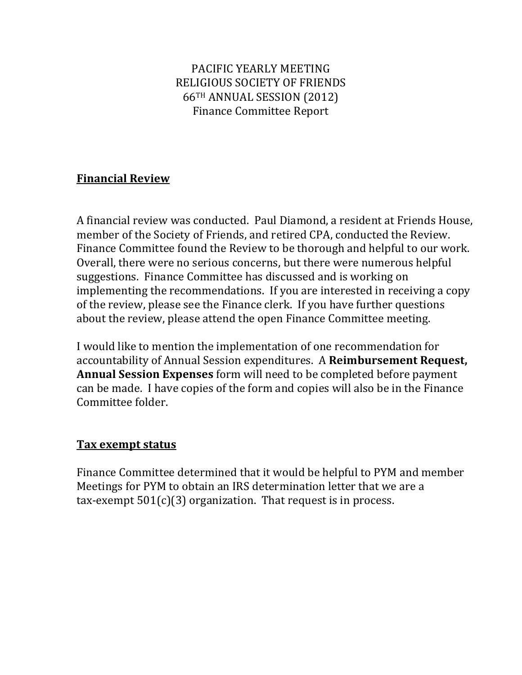PACIFIC YEARLY MEETING RELIGIOUS SOCIETY OF FRIENDS 66TH ANNUAL SESSION (2012) Finance Committee Report

## **Financial'Review**

A financial review was conducted. Paul Diamond, a resident at Friends House, member of the Society of Friends, and retired CPA, conducted the Review. Finance Committee found the Review to be thorough and helpful to our work. Overall, there were no serious concerns, but there were numerous helpful suggestions. Finance Committee has discussed and is working on implementing the recommendations. If you are interested in receiving a copy of the review, please see the Finance clerk. If you have further questions about the review, please attend the open Finance Committee meeting.

I would like to mention the implementation of one recommendation for accountability of Annual Session expenditures. A **Reimbursement Request**, **Annual Session Expenses** form will need to be completed before payment can be made. I have copies of the form and copies will also be in the Finance Committee folder.

### **Tax exempt status**

Finance Committee determined that it would be helpful to PYM and member Meetings for PYM to obtain an IRS determination letter that we are a tax-exempt  $501(c)(3)$  organization. That request is in process.